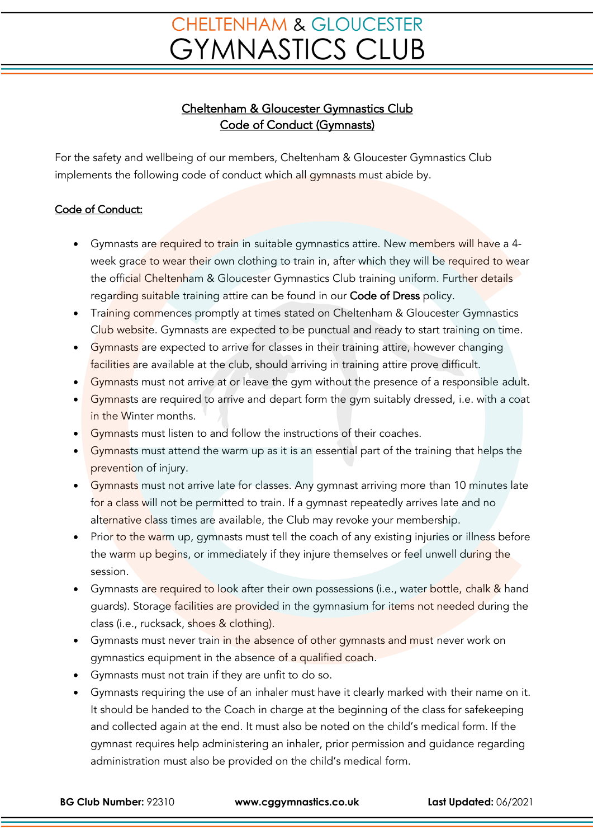## **CHELTENHAM & GLOUCESTER GYMNASTICS CLUB**

## Cheltenham & Gloucester Gymnastics Club Code of Conduct (Gymnasts)

For the safety and wellbeing of our members, Cheltenham & Gloucester Gymnastics Club implements the following code of conduct which all gymnasts must abide by.

## Code of Conduct:

- Gymnasts are required to train in suitable gymnastics attire. New members will have a 4week grace to wear their own clothing to train in, after which they will be required to wear the official Cheltenham & Gloucester Gymnastics Club training uniform. Further details regarding suitable training attire can be found in our Code of Dress policy.
- Training commences promptly at times stated on Cheltenham & Gloucester Gymnastics Club website. Gymnasts are expected to be punctual and ready to start training on time.
- Gymnasts are expected to arrive for classes in their training attire, however changing facilities are available at the club, should arriving in training attire prove difficult.
- Gymnasts must not arrive at or leave the gym without the presence of a responsible adult.
- Gymnasts are required to arrive and depart form the gym suitably dressed, i.e. with a coat in the Winter months.
- Gymnasts must listen to and follow the instructions of their coaches.
- Gymnasts must attend the warm up as it is an essential part of the training that helps the prevention of injury.
- Gymnasts must not arrive late for classes. Any gymnast arriving more than 10 minutes late for a class will not be permitted to train. If a gymnast repeatedly arrives late and no alternative class times are available, the Club may revoke your membership.
- Prior to the warm up, gymnasts must tell the coach of any existing injuries or illness before the warm up begins, or immediately if they injure themselves or feel unwell during the session.
- Gymnasts are required to look after their own possessions (i.e., water bottle, chalk & hand guards). Storage facilities are provided in the gymnasium for items not needed during the class (i.e., rucksack, shoes & clothing).
- Gymnasts must never train in the absence of other gymnasts and must never work on gymnastics equipment in the absence of a qualified coach.
- Gymnasts must not train if they are unfit to do so.
- Gymnasts requiring the use of an inhaler must have it clearly marked with their name on it. It should be handed to the Coach in charge at the beginning of the class for safekeeping and collected again at the end. It must also be noted on the child's medical form. If the gymnast requires help administering an inhaler, prior permission and guidance regarding administration must also be provided on the child's medical form.